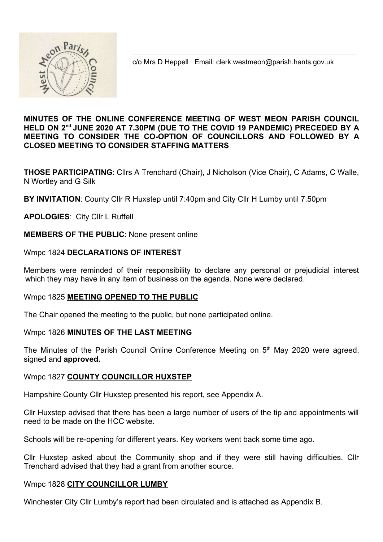

c/o Mrs D Heppell Email: clerk.westmeon@parish.hants.gov.uk

### MINUTES OF THE ONLINE CONFERENCE MEETING OF WEST MEON PARISH COUNCIL HELD ON 2<sup>nd</sup> JUNE 2020 AT 7.30PM (DUE TO THE COVID 19 PANDEMIC) PRECEDED BY A MEETING TO CONSIDER THE CO-OPTION OF COUNCILLORS AND FOLLOWED BY A CLOSED MEETING TO CONSIDER STAFFING MATTERS

THOSE PARTICIPATING: Cllrs A Trenchard (Chair), J Nicholson (Vice Chair), C Adams, C Walle, N Wortley and G Silk

BY INVITATION: County Cllr R Huxstep until 7:40pm and City Cllr H Lumby until 7:50pm

APOLOGIES: City Cllr L Ruffell

MEMBERS OF THE PUBLIC: None present online

### Wmpc 1824 DECLARATIONS OF INTEREST

Members were reminded of their responsibility to declare any personal or prejudicial interest which they may have in any item of business on the agenda. None were declared.

### Wmpc 1825 MEETING OPENED TO THE PUBLIC

The Chair opened the meeting to the public, but none participated online.

### Wmpc 1826 MINUTES OF THE LAST MEETING

The Minutes of the Parish Council Online Conference Meeting on 5<sup>th</sup> May 2020 were agreed, signed and approved.

### Wmpc 1827 COUNTY COUNCILLOR HUXSTEP

Hampshire County Cllr Huxstep presented his report, see Appendix A.

Cllr Huxstep advised that there has been a large number of users of the tip and appointments will need to be made on the HCC website.

Schools will be re-opening for different years. Key workers went back some time ago.

Cllr Huxstep asked about the Community shop and if they were still having difficulties. Cllr Trenchard advised that they had a grant from another source.

### Wmpc 1828 CITY COUNCILLOR LUMBY

Winchester City Cllr Lumby's report had been circulated and is attached as Appendix B.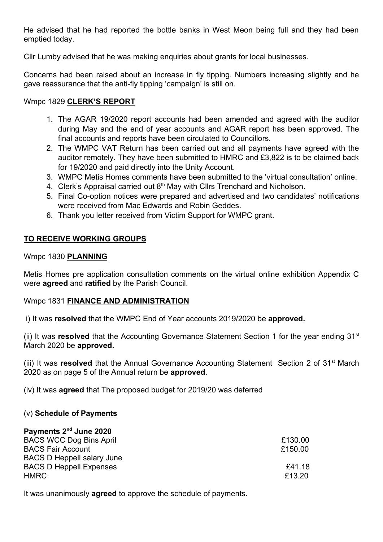He advised that he had reported the bottle banks in West Meon being full and they had been emptied today.

Cllr Lumby advised that he was making enquiries about grants for local businesses.

Concerns had been raised about an increase in fly tipping. Numbers increasing slightly and he gave reassurance that the anti-fly tipping 'campaign' is still on.

### Wmpc 1829 CLERK'S REPORT

- 1. The AGAR 19/2020 report accounts had been amended and agreed with the auditor during May and the end of year accounts and AGAR report has been approved. The final accounts and reports have been circulated to Councillors.
- 2. The WMPC VAT Return has been carried out and all payments have agreed with the auditor remotely. They have been submitted to HMRC and £3,822 is to be claimed back for 19/2020 and paid directly into the Unity Account.
- 3. WMPC Metis Homes comments have been submitted to the 'virtual consultation' online.
- 4. Clerk's Appraisal carried out 8<sup>th</sup> May with Cllrs Trenchard and Nicholson.
- 5. Final Co-option notices were prepared and advertised and two candidates' notifications were received from Mac Edwards and Robin Geddes.
- 6. Thank you letter received from Victim Support for WMPC grant.

## TO RECEIVE WORKING GROUPS

### Wmpc 1830 PLANNING

Metis Homes pre application consultation comments on the virtual online exhibition Appendix C were agreed and ratified by the Parish Council.

### Wmpc 1831 FINANCE AND ADMINISTRATION

i) It was resolved that the WMPC End of Year accounts 2019/2020 be approved.

(ii) It was resolved that the Accounting Governance Statement Section 1 for the year ending  $31<sup>st</sup>$ March 2020 be approved.

(iii) It was resolved that the Annual Governance Accounting Statement Section 2 of  $31<sup>st</sup>$  March 2020 as on page 5 of the Annual return be approved.

(iv) It was agreed that The proposed budget for 2019/20 was deferred

### (v) Schedule of Payments

| Payments 2 <sup>nd</sup> June 2020 |         |
|------------------------------------|---------|
| <b>BACS WCC Dog Bins April</b>     | £130.00 |
| <b>BACS Fair Account</b>           | £150.00 |
| <b>BACS D Heppell salary June</b>  |         |
| <b>BACS D Heppell Expenses</b>     | £41.18  |
| <b>HMRC</b>                        | £13.20  |

It was unanimously **agreed** to approve the schedule of payments.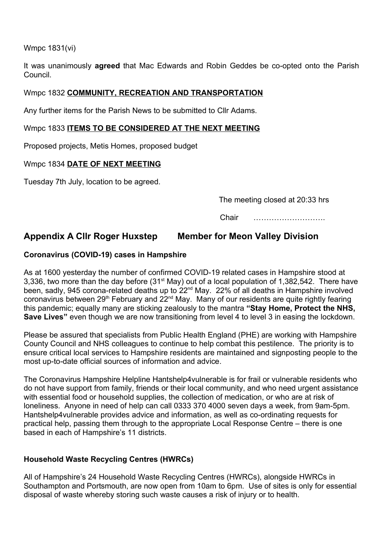Wmpc 1831(vi)

It was unanimously **agreed** that Mac Edwards and Robin Geddes be co-opted onto the Parish Council.

### Wmpc 1832 COMMUNITY, RECREATION AND TRANSPORTATION

Any further items for the Parish News to be submitted to Cllr Adams.

### Wmpc 1833 ITEMS TO BE CONSIDERED AT THE NEXT MEETING

Proposed projects, Metis Homes, proposed budget

## Wmpc 1834 DATE OF NEXT MEETING

Tuesday 7th July, location to be agreed.

The meeting closed at 20:33 hrs

Chair ……………………….

# Appendix A Cllr Roger Huxstep Member for Meon Valley Division

### Coronavirus (COVID-19) cases in Hampshire

As at 1600 yesterday the number of confirmed COVID-19 related cases in Hampshire stood at 3,336, two more than the day before (31<sup>st</sup> May) out of a local population of 1,382,542. There have been, sadly, 945 corona-related deaths up to 22<sup>nd</sup> May. 22% of all deaths in Hampshire involved coronavirus between  $29<sup>th</sup>$  February and  $22<sup>nd</sup>$  May. Many of our residents are quite rightly fearing this pandemic; equally many are sticking zealously to the mantra "Stay Home, Protect the NHS, Save Lives" even though we are now transitioning from level 4 to level 3 in easing the lockdown.

Please be assured that specialists from Public Health England (PHE) are working with Hampshire County Council and NHS colleagues to continue to help combat this pestilence. The priority is to ensure critical local services to Hampshire residents are maintained and signposting people to the most up-to-date official sources of information and advice.

The Coronavirus Hampshire Helpline Hantshelp4vulnerable is for frail or vulnerable residents who do not have support from family, friends or their local community, and who need urgent assistance with essential food or household supplies, the collection of medication, or who are at risk of loneliness. Anyone in need of help can call 0333 370 4000 seven days a week, from 9am-5pm. Hantshelp4vulnerable provides advice and information, as well as co-ordinating requests for practical help, passing them through to the appropriate Local Response Centre – there is one based in each of Hampshire's 11 districts.

## Household Waste Recycling Centres (HWRCs)

All of Hampshire's 24 Household Waste Recycling Centres (HWRCs), alongside HWRCs in Southampton and Portsmouth, are now open from 10am to 6pm. Use of sites is only for essential disposal of waste whereby storing such waste causes a risk of injury or to health.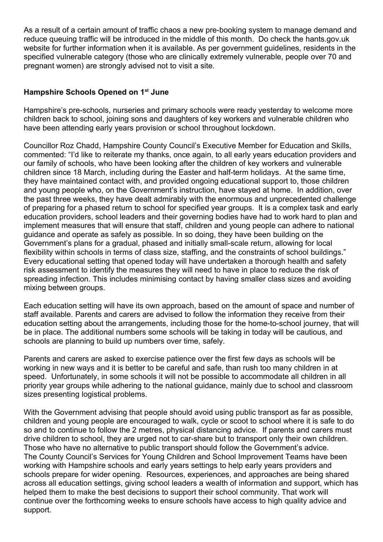As a result of a certain amount of traffic chaos a new pre-booking system to manage demand and reduce queuing traffic will be introduced in the middle of this month. Do check the hants.gov.uk website for further information when it is available. As per government guidelines, residents in the specified vulnerable category (those who are clinically extremely vulnerable, people over 70 and pregnant women) are strongly advised not to visit a site.

## Hampshire Schools Opened on 1<sup>st</sup> June

Hampshire's pre-schools, nurseries and primary schools were ready yesterday to welcome more children back to school, joining sons and daughters of key workers and vulnerable children who have been attending early years provision or school throughout lockdown.

Councillor Roz Chadd, Hampshire County Council's Executive Member for Education and Skills, commented: "I'd like to reiterate my thanks, once again, to all early years education providers and our family of schools, who have been looking after the children of key workers and vulnerable children since 18 March, including during the Easter and half-term holidays. At the same time, they have maintained contact with, and provided ongoing educational support to, those children and young people who, on the Government's instruction, have stayed at home. In addition, over the past three weeks, they have dealt admirably with the enormous and unprecedented challenge of preparing for a phased return to school for specified year groups. It is a complex task and early education providers, school leaders and their governing bodies have had to work hard to plan and implement measures that will ensure that staff, children and young people can adhere to national guidance and operate as safely as possible. In so doing, they have been building on the Government's plans for a gradual, phased and initially small-scale return, allowing for local flexibility within schools in terms of class size, staffing, and the constraints of school buildings." Every educational setting that opened today will have undertaken a thorough health and safety risk assessment to identify the measures they will need to have in place to reduce the risk of spreading infection. This includes minimising contact by having smaller class sizes and avoiding mixing between groups.

Each education setting will have its own approach, based on the amount of space and number of staff available. Parents and carers are advised to follow the information they receive from their education setting about the arrangements, including those for the home-to-school journey, that will be in place. The additional numbers some schools will be taking in today will be cautious, and schools are planning to build up numbers over time, safely.

Parents and carers are asked to exercise patience over the first few days as schools will be working in new ways and it is better to be careful and safe, than rush too many children in at speed. Unfortunately, in some schools it will not be possible to accommodate all children in all priority year groups while adhering to the national guidance, mainly due to school and classroom sizes presenting logistical problems.

With the Government advising that people should avoid using public transport as far as possible, children and young people are encouraged to walk, cycle or scoot to school where it is safe to do so and to continue to follow the 2 metres, physical distancing advice. If parents and carers must drive children to school, they are urged not to car-share but to transport only their own children. Those who have no alternative to public transport should follow the Government's advice. The County Council's Services for Young Children and School Improvement Teams have been working with Hampshire schools and early years settings to help early years providers and schools prepare for wider opening. Resources, experiences, and approaches are being shared across all education settings, giving school leaders a wealth of information and support, which has helped them to make the best decisions to support their school community. That work will continue over the forthcoming weeks to ensure schools have access to high quality advice and support.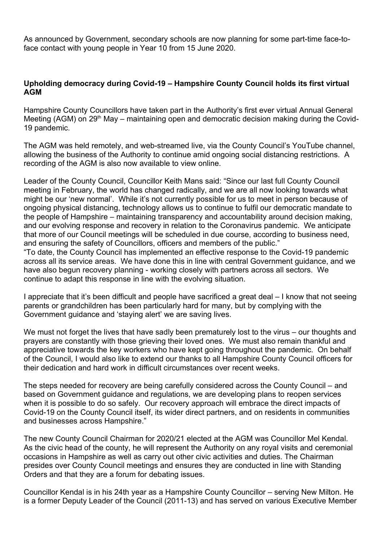As announced by Government, secondary schools are now planning for some part-time face-toface contact with young people in Year 10 from 15 June 2020.

## Upholding democracy during Covid-19 – Hampshire County Council holds its first virtual AGM

Hampshire County Councillors have taken part in the Authority's first ever virtual Annual General Meeting (AGM) on 29<sup>th</sup> May – maintaining open and democratic decision making during the Covid-19 pandemic.

The AGM was held remotely, and web-streamed live, via the County Council's YouTube channel, allowing the business of the Authority to continue amid ongoing social distancing restrictions. A recording of the AGM is also now available to view online.

Leader of the County Council, Councillor Keith Mans said: "Since our last full County Council meeting in February, the world has changed radically, and we are all now looking towards what might be our 'new normal'. While it's not currently possible for us to meet in person because of ongoing physical distancing, technology allows us to continue to fulfil our democratic mandate to the people of Hampshire – maintaining transparency and accountability around decision making, and our evolving response and recovery in relation to the Coronavirus pandemic. We anticipate that more of our Council meetings will be scheduled in due course, according to business need, and ensuring the safety of Councillors, officers and members of the public."

"To date, the County Council has implemented an effective response to the Covid-19 pandemic across all its service areas. We have done this in line with central Government guidance, and we have also begun recovery planning - working closely with partners across all sectors. We continue to adapt this response in line with the evolving situation.

I appreciate that it's been difficult and people have sacrificed a great deal – I know that not seeing parents or grandchildren has been particularly hard for many, but by complying with the Government guidance and 'staying alert' we are saving lives.

We must not forget the lives that have sadly been prematurely lost to the virus – our thoughts and prayers are constantly with those grieving their loved ones. We must also remain thankful and appreciative towards the key workers who have kept going throughout the pandemic. On behalf of the Council, I would also like to extend our thanks to all Hampshire County Council officers for their dedication and hard work in difficult circumstances over recent weeks.

The steps needed for recovery are being carefully considered across the County Council – and based on Government guidance and regulations, we are developing plans to reopen services when it is possible to do so safely. Our recovery approach will embrace the direct impacts of Covid-19 on the County Council itself, its wider direct partners, and on residents in communities and businesses across Hampshire."

The new County Council Chairman for 2020/21 elected at the AGM was Councillor Mel Kendal. As the civic head of the county, he will represent the Authority on any royal visits and ceremonial occasions in Hampshire as well as carry out other civic activities and duties. The Chairman presides over County Council meetings and ensures they are conducted in line with Standing Orders and that they are a forum for debating issues.

Councillor Kendal is in his 24th year as a Hampshire County Councillor – serving New Milton. He is a former Deputy Leader of the Council (2011-13) and has served on various Executive Member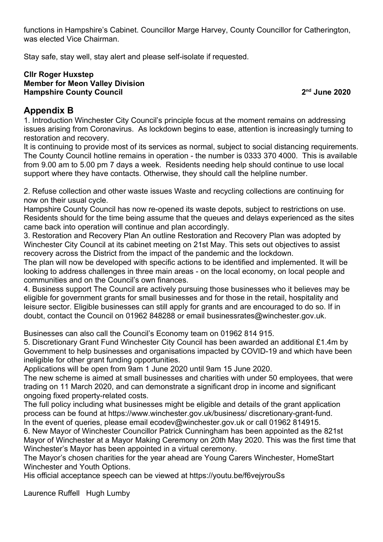functions in Hampshire's Cabinet. Councillor Marge Harvey, County Councillor for Catherington, was elected Vice Chairman.

Stay safe, stay well, stay alert and please self-isolate if requested.

### Cllr Roger Huxstep Member for Meon Valley Division Hampshire County Council 2nd June 2020

## Appendix B

1. Introduction Winchester City Council's principle focus at the moment remains on addressing issues arising from Coronavirus. As lockdown begins to ease, attention is increasingly turning to restoration and recovery.

It is continuing to provide most of its services as normal, subject to social distancing requirements. The County Council hotline remains in operation - the number is 0333 370 4000. This is available from 9.00 am to 5.00 pm 7 days a week. Residents needing help should continue to use local support where they have contacts. Otherwise, they should call the helpline number.

2. Refuse collection and other waste issues Waste and recycling collections are continuing for now on their usual cycle.

Hampshire County Council has now re-opened its waste depots, subject to restrictions on use. Residents should for the time being assume that the queues and delays experienced as the sites came back into operation will continue and plan accordingly.

3. Restoration and Recovery Plan An outline Restoration and Recovery Plan was adopted by Winchester City Council at its cabinet meeting on 21st May. This sets out objectives to assist recovery across the District from the impact of the pandemic and the lockdown.

The plan will now be developed with specific actions to be identified and implemented. It will be looking to address challenges in three main areas - on the local economy, on local people and communities and on the Council's own finances.

4. Business support The Council are actively pursuing those businesses who it believes may be eligible for government grants for small businesses and for those in the retail, hospitality and leisure sector. Eligible businesses can still apply for grants and are encouraged to do so. If in doubt, contact the Council on 01962 848288 or email businessrates@winchester.gov.uk.

Businesses can also call the Council's Economy team on 01962 814 915.

5. Discretionary Grant Fund Winchester City Council has been awarded an additional £1.4m by Government to help businesses and organisations impacted by COVID-19 and which have been ineligible for other grant funding opportunities.

Applications will be open from 9am 1 June 2020 until 9am 15 June 2020.

The new scheme is aimed at small businesses and charities with under 50 employees, that were trading on 11 March 2020, and can demonstrate a significant drop in income and significant ongoing fixed property-related costs.

The full policy including what businesses might be eligible and details of the grant application process can be found at https://www.winchester.gov.uk/business/ discretionary-grant-fund. In the event of queries, please email ecodev@winchester.gov.uk or call 01962 814915.

6. New Mayor of Winchester Councillor Patrick Cunningham has been appointed as the 821st Mayor of Winchester at a Mayor Making Ceremony on 20th May 2020. This was the first time that Winchester's Mayor has been appointed in a virtual ceremony.

The Mayor's chosen charities for the year ahead are Young Carers Winchester, HomeStart Winchester and Youth Options.

His official acceptance speech can be viewed at https://youtu.be/f6vejyrouSs

Laurence Ruffell Hugh Lumby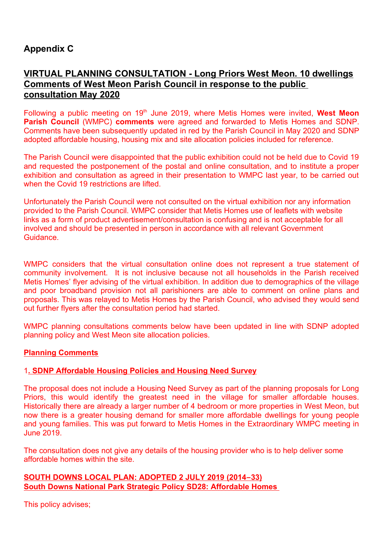# Appendix C

# VIRTUAL PLANNING CONSULTATION - Long Priors West Meon. 10 dwellings Comments of West Meon Parish Council in response to the public consultation May 2020

Following a public meeting on 19<sup>th</sup> June 2019, where Metis Homes were invited, West Meon Parish Council (WMPC) comments were agreed and forwarded to Metis Homes and SDNP. Comments have been subsequently updated in red by the Parish Council in May 2020 and SDNP adopted affordable housing, housing mix and site allocation policies included for reference.

The Parish Council were disappointed that the public exhibition could not be held due to Covid 19 and requested the postponement of the postal and online consultation, and to institute a proper exhibition and consultation as agreed in their presentation to WMPC last year, to be carried out when the Covid 19 restrictions are lifted.

Unfortunately the Parish Council were not consulted on the virtual exhibition nor any information provided to the Parish Council. WMPC consider that Metis Homes use of leaflets with website links as a form of product advertisement/consultation is confusing and is not acceptable for all involved and should be presented in person in accordance with all relevant Government Guidance.

WMPC considers that the virtual consultation online does not represent a true statement of community involvement. It is not inclusive because not all households in the Parish received Metis Homes' flyer advising of the virtual exhibition. In addition due to demographics of the village and poor broadband provision not all parishioners are able to comment on online plans and proposals. This was relayed to Metis Homes by the Parish Council, who advised they would send out further flyers after the consultation period had started.

WMPC planning consultations comments below have been updated in line with SDNP adopted planning policy and West Meon site allocation policies.

### Planning Comments

### 1. SDNP Affordable Housing Policies and Housing Need Survey

The proposal does not include a Housing Need Survey as part of the planning proposals for Long Priors, this would identify the greatest need in the village for smaller affordable houses. Historically there are already a larger number of 4 bedroom or more properties in West Meon, but now there is a greater housing demand for smaller more affordable dwellings for young people and young families. This was put forward to Metis Homes in the Extraordinary WMPC meeting in June 2019.

The consultation does not give any details of the housing provider who is to help deliver some affordable homes within the site.

### SOUTH DOWNS LOCAL PLAN: ADOPTED 2 JULY 2019 (2014 – 33) South Downs National Park Strategic Policy SD28: Affordable Homes

This policy advises;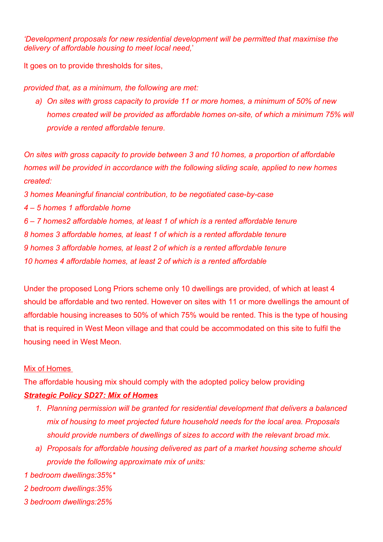'Development proposals for new residential development will be permitted that maximise the delivery of affordable housing to meet local need,'

It goes on to provide thresholds for sites,

provided that, as a minimum, the following are met:

a) On sites with gross capacity to provide 11 or more homes, a minimum of 50% of new homes created will be provided as affordable homes on-site, of which a minimum 75% will provide a rented affordable tenure.

On sites with gross capacity to provide between 3 and 10 homes, a proportion of affordable homes will be provided in accordance with the following sliding scale, applied to new homes created:

3 homes Meaningful financial contribution, to be negotiated case-by-case

4 – 5 homes 1 affordable home

6 – 7 homes2 affordable homes, at least 1 of which is a rented affordable tenure 8 homes 3 affordable homes, at least 1 of which is a rented affordable tenure 9 homes 3 affordable homes, at least 2 of which is a rented affordable tenure 10 homes 4 affordable homes, at least 2 of which is a rented affordable

Under the proposed Long Priors scheme only 10 dwellings are provided, of which at least 4 should be affordable and two rented. However on sites with 11 or more dwellings the amount of affordable housing increases to 50% of which 75% would be rented. This is the type of housing that is required in West Meon village and that could be accommodated on this site to fulfil the housing need in West Meon.

## Mix of Homes

The affordable housing mix should comply with the adopted policy below providing

## **Strategic Policy SD27: Mix of Homes**

- 1. Planning permission will be granted for residential development that delivers a balanced mix of housing to meet projected future household needs for the local area. Proposals should provide numbers of dwellings of sizes to accord with the relevant broad mix.
- a) Proposals for affordable housing delivered as part of a market housing scheme should provide the following approximate mix of units:

1 bedroom dwellings:35%\*

- 2 bedroom dwellings:35%
- 3 bedroom dwellings:25%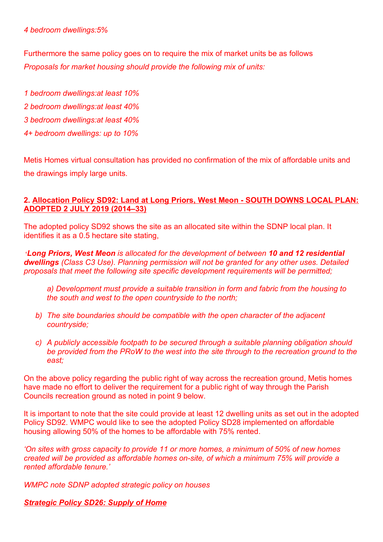### 4 bedroom dwellings:5%

Furthermore the same policy goes on to require the mix of market units be as follows Proposals for market housing should provide the following mix of units:

- 1 bedroom dwellings:at least 10% 2 bedroom dwellings:at least 40% 3 bedroom dwellings:at least 40%
- 4+ bedroom dwellings: up to 10%

Metis Homes virtual consultation has provided no confirmation of the mix of affordable units and the drawings imply large units.

### 2. Allocation Policy SD92: Land at Long Priors, West Meon - SOUTH DOWNS LOCAL PLAN: ADOPTED 2 JULY 2019 (2014–33)

The adopted policy SD92 shows the site as an allocated site within the SDNP local plan. It identifies it as a 0.5 hectare site stating,

'Long Priors, West Meon is allocated for the development of between 10 and 12 residential dwellings (Class C3 Use). Planning permission will not be granted for any other uses. Detailed proposals that meet the following site specific development requirements will be permitted;

a) Development must provide a suitable transition in form and fabric from the housing to the south and west to the open countryside to the north;

- b) The site boundaries should be compatible with the open character of the adjacent countryside;
- c) A publicly accessible footpath to be secured through a suitable planning obligation should be provided from the PRoW to the west into the site through to the recreation ground to the east;

On the above policy regarding the public right of way across the recreation ground, Metis homes have made no effort to deliver the requirement for a public right of way through the Parish Councils recreation ground as noted in point 9 below.

It is important to note that the site could provide at least 12 dwelling units as set out in the adopted Policy SD92. WMPC would like to see the adopted Policy SD28 implemented on affordable housing allowing 50% of the homes to be affordable with 75% rented.

'On sites with gross capacity to provide 11 or more homes, a minimum of 50% of new homes created will be provided as affordable homes on-site, of which a minimum 75% will provide a rented affordable tenure.'

WMPC note SDNP adopted strategic policy on houses

### **Strategic Policy SD26: Supply of Home**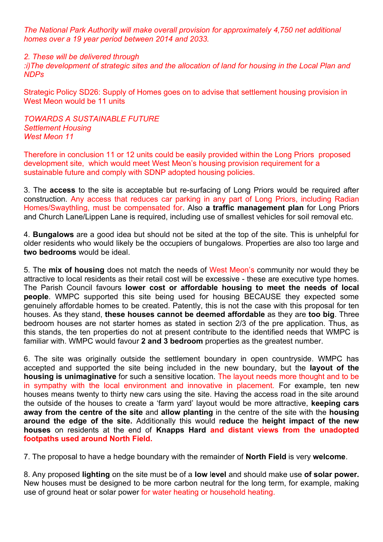The National Park Authority will make overall provision for approximately 4,750 net additional homes over a 19 year period between 2014 and 2033.

#### 2. These will be delivered through

:i)The development of strategic sites and the allocation of land for housing in the Local Plan and NDPs

Strategic Policy SD26: Supply of Homes goes on to advise that settlement housing provision in West Meon would be 11 units

#### TOWARDS A SUSTAINABLE FUTURE Settlement Housing West Meon 11

Therefore in conclusion 11 or 12 units could be easily provided within the Long Priors proposed development site, which would meet West Meon's housing provision requirement for a sustainable future and comply with SDNP adopted housing policies.

3. The access to the site is acceptable but re-surfacing of Long Priors would be required after construction. Any access that reduces car parking in any part of Long Priors, including Radian Homes/Swaythling, must be compensated for. Also a traffic management plan for Long Priors and Church Lane/Lippen Lane is required, including use of smallest vehicles for soil removal etc.

4. Bungalows are a good idea but should not be sited at the top of the site. This is unhelpful for older residents who would likely be the occupiers of bungalows. Properties are also too large and two bedrooms would be ideal.

5. The mix of housing does not match the needs of West Meon's community nor would they be attractive to local residents as their retail cost will be excessive - these are executive type homes. The Parish Council favours lower cost or affordable housing to meet the needs of local people. WMPC supported this site being used for housing BECAUSE they expected some genuinely affordable homes to be created. Patently, this is not the case with this proposal for ten houses. As they stand, these houses cannot be deemed affordable as they are too big. Three bedroom houses are not starter homes as stated in section 2/3 of the pre application. Thus, as this stands, the ten properties do not at present contribute to the identified needs that WMPC is familiar with. WMPC would favour 2 and 3 bedroom properties as the greatest number.

6. The site was originally outside the settlement boundary in open countryside. WMPC has accepted and supported the site being included in the new boundary, but the layout of the housing is unimaginative for such a sensitive location. The layout needs more thought and to be in sympathy with the local environment and innovative in placement. For example, ten new houses means twenty to thirty new cars using the site. Having the access road in the site around the outside of the houses to create a 'farm yard' layout would be more attractive, keeping cars away from the centre of the site and allow planting in the centre of the site with the housing around the edge of the site. Additionally this would reduce the height impact of the new houses on residents at the end of Knapps Hard and distant views from the unadopted footpaths used around North Field.

7. The proposal to have a hedge boundary with the remainder of North Field is very welcome.

8. Any proposed lighting on the site must be of a low level and should make use of solar power. New houses must be designed to be more carbon neutral for the long term, for example, making use of ground heat or solar power for water heating or household heating.